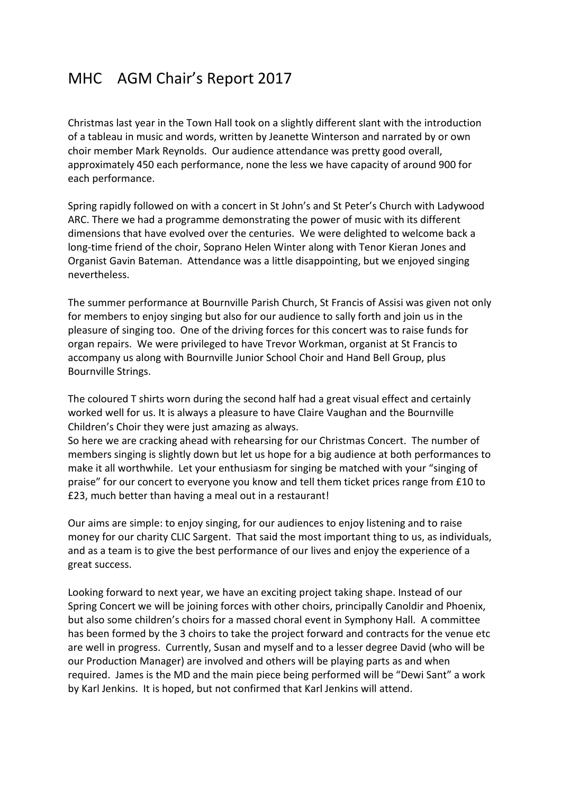# MHC AGM Chair's Report 2017

Christmas last year in the Town Hall took on a slightly different slant with the introduction of a tableau in music and words, written by Jeanette Winterson and narrated by or own choir member Mark Reynolds. Our audience attendance was pretty good overall, approximately 450 each performance, none the less we have capacity of around 900 for each performance.

Spring rapidly followed on with a concert in St John's and St Peter's Church with Ladywood ARC. There we had a programme demonstrating the power of music with its different dimensions that have evolved over the centuries. We were delighted to welcome back a long-time friend of the choir, Soprano Helen Winter along with Tenor Kieran Jones and Organist Gavin Bateman. Attendance was a little disappointing, but we enjoyed singing nevertheless.

The summer performance at Bournville Parish Church, St Francis of Assisi was given not only for members to enjoy singing but also for our audience to sally forth and join us in the pleasure of singing too. One of the driving forces for this concert was to raise funds for organ repairs. We were privileged to have Trevor Workman, organist at St Francis to accompany us along with Bournville Junior School Choir and Hand Bell Group, plus Bournville Strings.

The coloured T shirts worn during the second half had a great visual effect and certainly worked well for us. It is always a pleasure to have Claire Vaughan and the Bournville Children's Choir they were just amazing as always.

So here we are cracking ahead with rehearsing for our Christmas Concert. The number of members singing is slightly down but let us hope for a big audience at both performances to make it all worthwhile. Let your enthusiasm for singing be matched with your "singing of praise" for our concert to everyone you know and tell them ticket prices range from £10 to £23, much better than having a meal out in a restaurant!

Our aims are simple: to enjoy singing, for our audiences to enjoy listening and to raise money for our charity CLIC Sargent. That said the most important thing to us, as individuals, and as a team is to give the best performance of our lives and enjoy the experience of a great success.

Looking forward to next year, we have an exciting project taking shape. Instead of our Spring Concert we will be joining forces with other choirs, principally Canoldir and Phoenix, but also some children's choirs for a massed choral event in Symphony Hall. A committee has been formed by the 3 choirs to take the project forward and contracts for the venue etc are well in progress. Currently, Susan and myself and to a lesser degree David (who will be our Production Manager) are involved and others will be playing parts as and when required. James is the MD and the main piece being performed will be "Dewi Sant" a work by Karl Jenkins. It is hoped, but not confirmed that Karl Jenkins will attend.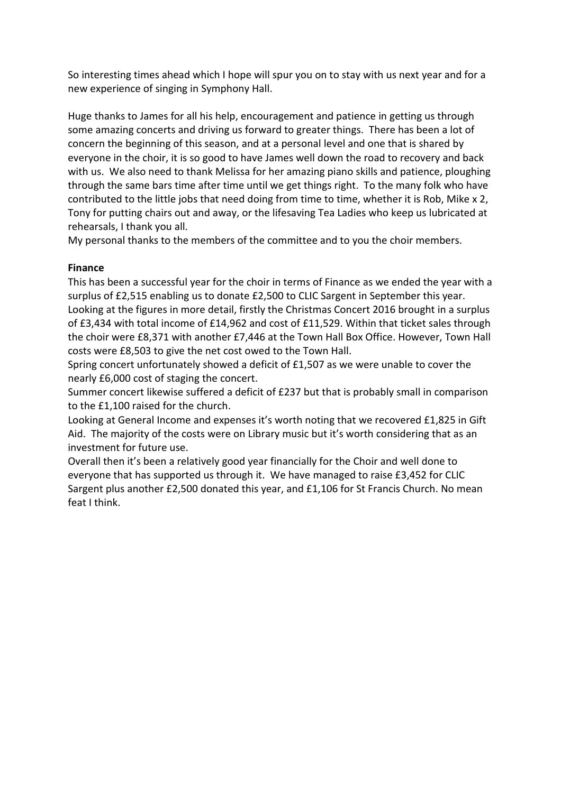So interesting times ahead which I hope will spur you on to stay with us next year and for a new experience of singing in Symphony Hall.

Huge thanks to James for all his help, encouragement and patience in getting us through some amazing concerts and driving us forward to greater things. There has been a lot of concern the beginning of this season, and at a personal level and one that is shared by everyone in the choir, it is so good to have James well down the road to recovery and back with us. We also need to thank Melissa for her amazing piano skills and patience, ploughing through the same bars time after time until we get things right. To the many folk who have contributed to the little jobs that need doing from time to time, whether it is Rob, Mike x 2, Tony for putting chairs out and away, or the lifesaving Tea Ladies who keep us lubricated at rehearsals, I thank you all.

My personal thanks to the members of the committee and to you the choir members.

### **Finance**

This has been a successful year for the choir in terms of Finance as we ended the year with a surplus of £2,515 enabling us to donate £2,500 to CLIC Sargent in September this year. Looking at the figures in more detail, firstly the Christmas Concert 2016 brought in a surplus of £3,434 with total income of £14,962 and cost of £11,529. Within that ticket sales through the choir were £8,371 with another £7,446 at the Town Hall Box Office. However, Town Hall costs were £8,503 to give the net cost owed to the Town Hall.

Spring concert unfortunately showed a deficit of £1,507 as we were unable to cover the nearly £6,000 cost of staging the concert.

Summer concert likewise suffered a deficit of £237 but that is probably small in comparison to the £1,100 raised for the church.

Looking at General Income and expenses it's worth noting that we recovered £1,825 in Gift Aid. The majority of the costs were on Library music but it's worth considering that as an investment for future use.

Overall then it's been a relatively good year financially for the Choir and well done to everyone that has supported us through it. We have managed to raise £3,452 for CLIC Sargent plus another £2,500 donated this year, and £1,106 for St Francis Church. No mean feat I think.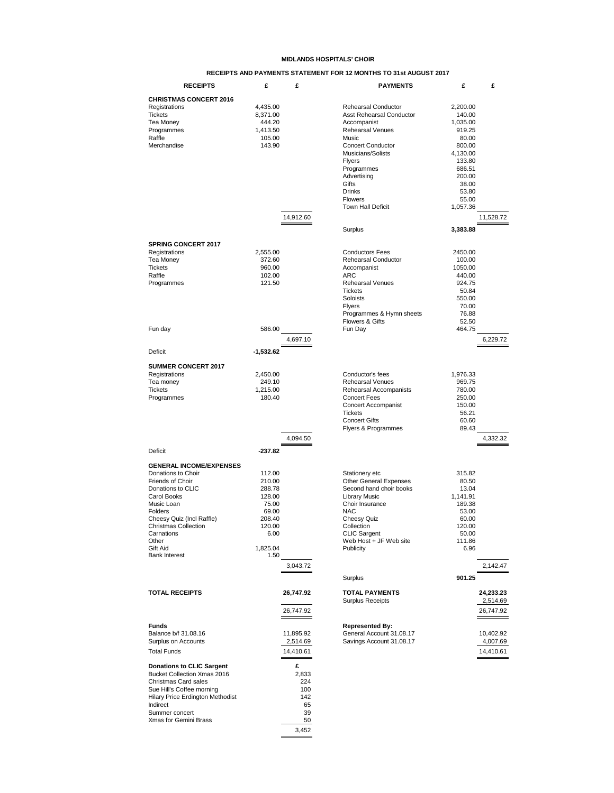#### **MIDLANDS HOSPITALS' CHOIR**

### **RECEIPTS AND PAYMENTS STATEMENT FOR 12 MONTHS TO 31st AUGUST 2017**

| <b>RECEIPTS</b>                                                 | £           | £            | <b>PAYMENTS</b>                              | £               | £         |
|-----------------------------------------------------------------|-------------|--------------|----------------------------------------------|-----------------|-----------|
| <b>CHRISTMAS CONCERT 2016</b>                                   |             |              |                                              |                 |           |
| Registrations                                                   | 4,435.00    |              | <b>Rehearsal Conductor</b>                   | 2,200.00        |           |
| <b>Tickets</b>                                                  | 8,371.00    |              | Asst Rehearsal Conductor                     | 140.00          |           |
| Tea Money                                                       | 444.20      |              | Accompanist                                  | 1,035.00        |           |
| Programmes                                                      | 1,413.50    |              | Rehearsal Venues                             | 919.25          |           |
| Raffle                                                          | 105.00      |              | Music                                        | 80.00           |           |
| Merchandise                                                     | 143.90      |              | <b>Concert Conductor</b>                     | 800.00          |           |
|                                                                 |             |              | Musicians/Solists                            | 4,130.00        |           |
|                                                                 |             |              | <b>Flyers</b>                                | 133.80          |           |
|                                                                 |             |              | Programmes                                   | 686.51          |           |
|                                                                 |             |              | Advertising<br>Gifts                         | 200.00<br>38.00 |           |
|                                                                 |             |              | Drinks                                       | 53.80           |           |
|                                                                 |             |              | Flowers                                      | 55.00           |           |
|                                                                 |             |              | <b>Town Hall Deficit</b>                     | 1,057.36        |           |
|                                                                 |             |              |                                              |                 |           |
|                                                                 |             | 14,912.60    |                                              |                 | 11,528.72 |
|                                                                 |             |              | Surplus                                      | 3,383.88        |           |
| <b>SPRING CONCERT 2017</b>                                      |             |              |                                              |                 |           |
| Registrations                                                   | 2,555.00    |              | <b>Conductors Fees</b>                       | 2450.00         |           |
| Tea Money                                                       | 372.60      |              | Rehearsal Conductor                          | 100.00          |           |
| Tickets                                                         | 960.00      |              | Accompanist                                  | 1050.00         |           |
| Raffle                                                          | 102.00      |              | <b>ARC</b>                                   | 440.00          |           |
| Programmes                                                      | 121.50      |              | <b>Rehearsal Venues</b>                      | 924.75          |           |
|                                                                 |             |              | <b>Tickets</b>                               | 50.84           |           |
|                                                                 |             |              | Soloists                                     | 550.00          |           |
|                                                                 |             |              | <b>Flyers</b>                                | 70.00           |           |
|                                                                 |             |              | Programmes & Hymn sheets                     | 76.88           |           |
|                                                                 |             |              | Flowers & Gifts                              | 52.50           |           |
| Fun day                                                         | 586.00      |              | Fun Day                                      | 464.75          |           |
|                                                                 |             | 4,697.10     |                                              |                 | 6,229.72  |
| Deficit                                                         | $-1,532.62$ |              |                                              |                 |           |
|                                                                 |             |              |                                              |                 |           |
| <b>SUMMER CONCERT 2017</b>                                      |             |              |                                              |                 |           |
| Registrations                                                   | 2,450.00    |              | Conductor's fees                             | 1,976.33        |           |
| Tea money                                                       | 249.10      |              | <b>Rehearsal Venues</b>                      | 969.75          |           |
| <b>Tickets</b>                                                  | 1,215.00    |              | Rehearsal Accompanists                       | 780.00          |           |
| Programmes                                                      | 180.40      |              | <b>Concert Fees</b>                          | 250.00          |           |
|                                                                 |             |              | <b>Concert Accompanist</b><br><b>Tickets</b> | 150.00<br>56.21 |           |
|                                                                 |             |              | <b>Concert Gifts</b>                         | 60.60           |           |
|                                                                 |             |              | Flyers & Programmes                          | 89.43           |           |
|                                                                 |             | 4,094.50     |                                              |                 | 4,332.32  |
|                                                                 |             |              |                                              |                 |           |
| Deficit                                                         | $-237.82$   |              |                                              |                 |           |
| <b>GENERAL INCOME/EXPENSES</b>                                  |             |              |                                              |                 |           |
| Donations to Choir                                              | 112.00      |              | Stationery etc                               | 315.82          |           |
| Friends of Choir                                                | 210.00      |              | <b>Other General Expenses</b>                | 80.50           |           |
| Donations to CLIC                                               | 288.78      |              | Second hand choir books                      | 13.04           |           |
| Carol Books                                                     | 128.00      |              | <b>Library Music</b>                         | 1,141.91        |           |
| Music Loan                                                      | 75.00       |              | Choir Insurance                              | 189.38          |           |
| Folders                                                         | 69.00       |              | <b>NAC</b>                                   | 53.00           |           |
| Cheesy Quiz (Incl Raffle)                                       | 208.40      |              | Cheesy Quiz                                  | 60.00           |           |
| <b>Christmas Collection</b>                                     | 120.00      |              | Collection                                   | 120.00          |           |
| Carnations                                                      | 6.00        |              | <b>CLIC Sargent</b>                          | 50.00           |           |
| Other<br>Gift Aid                                               | 1,825.04    |              | Web Host + JF Web site<br>Publicity          | 111.86<br>6.96  |           |
| <b>Bank Interest</b>                                            | 1.50        |              |                                              |                 |           |
|                                                                 |             | 3,043.72     |                                              |                 | 2,142.47  |
|                                                                 |             |              | Surplus                                      | 901.25          |           |
|                                                                 |             |              |                                              |                 |           |
| <b>TOTAL RECEIPTS</b>                                           |             | 26,747.92    | <b>TOTAL PAYMENTS</b>                        |                 | 24,233.23 |
|                                                                 |             |              | <b>Surplus Receipts</b>                      |                 | 2,514.69  |
|                                                                 |             | 26,747.92    |                                              |                 | 26,747.92 |
| <b>Funds</b>                                                    |             |              | <b>Represented By:</b>                       |                 |           |
| Balance b/f 31.08.16                                            |             | 11,895.92    | General Account 31.08.17                     |                 | 10,402.92 |
| Surplus on Accounts                                             |             | 2,514.69     | Savings Account 31.08.17                     |                 | 4,007.69  |
| <b>Total Funds</b>                                              |             | 14,410.61    |                                              |                 | 14,410.61 |
|                                                                 |             |              |                                              |                 |           |
| <b>Donations to CLIC Sargent</b><br>Bucket Collection Xmas 2016 |             | £            |                                              |                 |           |
| Christmas Card sales                                            |             | 2,833<br>224 |                                              |                 |           |
| Sue Hill's Coffee morning                                       |             | 100          |                                              |                 |           |
| Hilary Price Erdington Methodist                                |             | 142          |                                              |                 |           |
| Indirect                                                        |             | 65           |                                              |                 |           |
| Summer concert                                                  |             | 39           |                                              |                 |           |
| Xmas for Gemini Brass                                           |             | 50           |                                              |                 |           |
|                                                                 |             | 3,452        |                                              |                 |           |
|                                                                 |             |              |                                              |                 |           |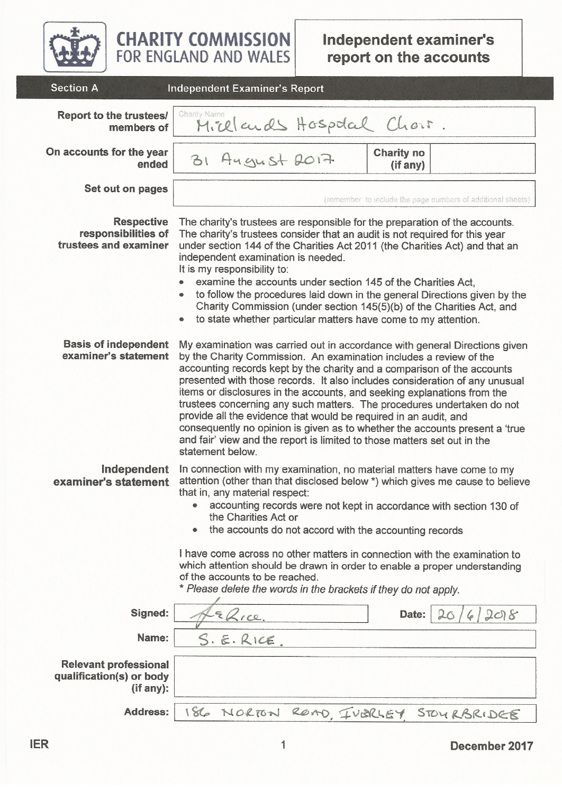

**CHARITY COMMISSION**<br>FOR ENGLAND AND WALES

| <b>OCCHOIL</b>                                                        | <b>INGEPERIGE LEAGHING STREPOIL</b>                                                                                                                                                                                                                                                                                                                                                                                                                                                                                                                                                                                                                                                                                |  |  |  |  |  |  |
|-----------------------------------------------------------------------|--------------------------------------------------------------------------------------------------------------------------------------------------------------------------------------------------------------------------------------------------------------------------------------------------------------------------------------------------------------------------------------------------------------------------------------------------------------------------------------------------------------------------------------------------------------------------------------------------------------------------------------------------------------------------------------------------------------------|--|--|--|--|--|--|
| <b>Report to the trustees/</b><br>members of                          | Charity Name<br>Micelands Hospital Chor.                                                                                                                                                                                                                                                                                                                                                                                                                                                                                                                                                                                                                                                                           |  |  |  |  |  |  |
| On accounts for the year<br>ended                                     | <b>Charity no</b><br>31 August 2017<br>(if any)                                                                                                                                                                                                                                                                                                                                                                                                                                                                                                                                                                                                                                                                    |  |  |  |  |  |  |
| Set out on pages                                                      | (remember to include the page numbers of additional sheets)                                                                                                                                                                                                                                                                                                                                                                                                                                                                                                                                                                                                                                                        |  |  |  |  |  |  |
| <b>Respective</b><br>responsibilities of<br>trustees and examiner     | The charity's trustees are responsible for the preparation of the accounts.<br>The charity's trustees consider that an audit is not required for this year<br>under section 144 of the Charities Act 2011 (the Charities Act) and that an<br>independent examination is needed.<br>It is my responsibility to:<br>examine the accounts under section 145 of the Charities Act,<br>to follow the procedures laid down in the general Directions given by the<br>$\qquad \qquad \bullet$<br>Charity Commission (under section 145(5)(b) of the Charities Act, and<br>to state whether particular matters have come to my attention.<br>$\qquad \qquad \bullet$                                                       |  |  |  |  |  |  |
| <b>Basis of independent</b><br>examiner's statement                   | My examination was carried out in accordance with general Directions given<br>by the Charity Commission. An examination includes a review of the<br>accounting records kept by the charity and a comparison of the accounts<br>presented with those records. It also includes consideration of any unusual<br>items or disclosures in the accounts, and seeking explanations from the<br>trustees concerning any such matters. The procedures undertaken do not<br>provide all the evidence that would be required in an audit, and<br>consequently no opinion is given as to whether the accounts present a 'true<br>and fair' view and the report is limited to those matters set out in the<br>statement below. |  |  |  |  |  |  |
| Independent<br>examiner's statement                                   | In connection with my examination, no material matters have come to my<br>attention (other than that disclosed below *) which gives me cause to believe<br>that in, any material respect:<br>accounting records were not kept in accordance with section 130 of<br>the Charities Act or<br>the accounts do not accord with the accounting records<br>I have come across no other matters in connection with the examination to<br>which attention should be drawn in order to enable a proper understanding<br>of the accounts to be reached.<br>* Please delete the words in the brackets if they do not apply.                                                                                                   |  |  |  |  |  |  |
| Signed:                                                               | Date:<br>208                                                                                                                                                                                                                                                                                                                                                                                                                                                                                                                                                                                                                                                                                                       |  |  |  |  |  |  |
| Name:                                                                 | S.E.RICE                                                                                                                                                                                                                                                                                                                                                                                                                                                                                                                                                                                                                                                                                                           |  |  |  |  |  |  |
| <b>Relevant professional</b><br>qualification(s) or body<br>(if any): |                                                                                                                                                                                                                                                                                                                                                                                                                                                                                                                                                                                                                                                                                                                    |  |  |  |  |  |  |
| <b>Address:</b>                                                       | 186 NORTON ROMO, IVBRIEY STOURBRIDGE                                                                                                                                                                                                                                                                                                                                                                                                                                                                                                                                                                                                                                                                               |  |  |  |  |  |  |

December 2017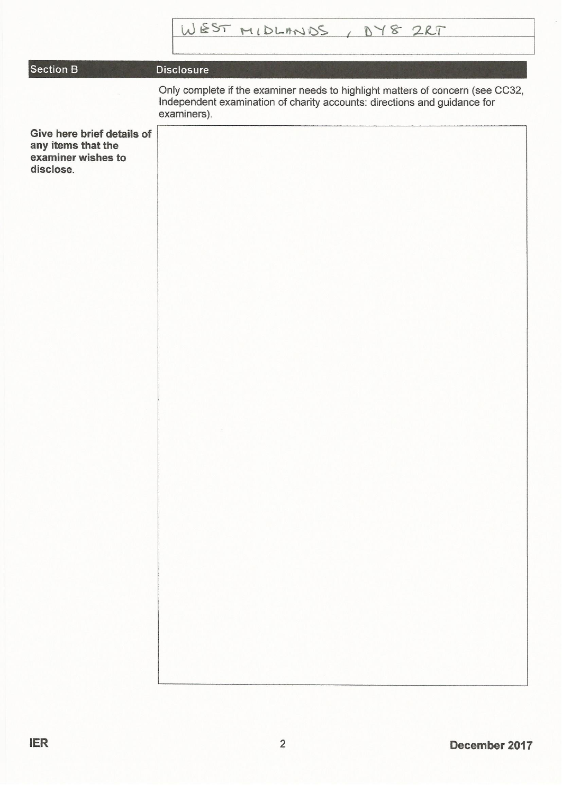## Section B

## **Disclosure**

Only complete if the examiner needs to highlight matters of concern (see CC32, Independent examination of charity accounts: directions and guidance for examiners).

Give here brief details of any items that the examiner wishes to disclose.